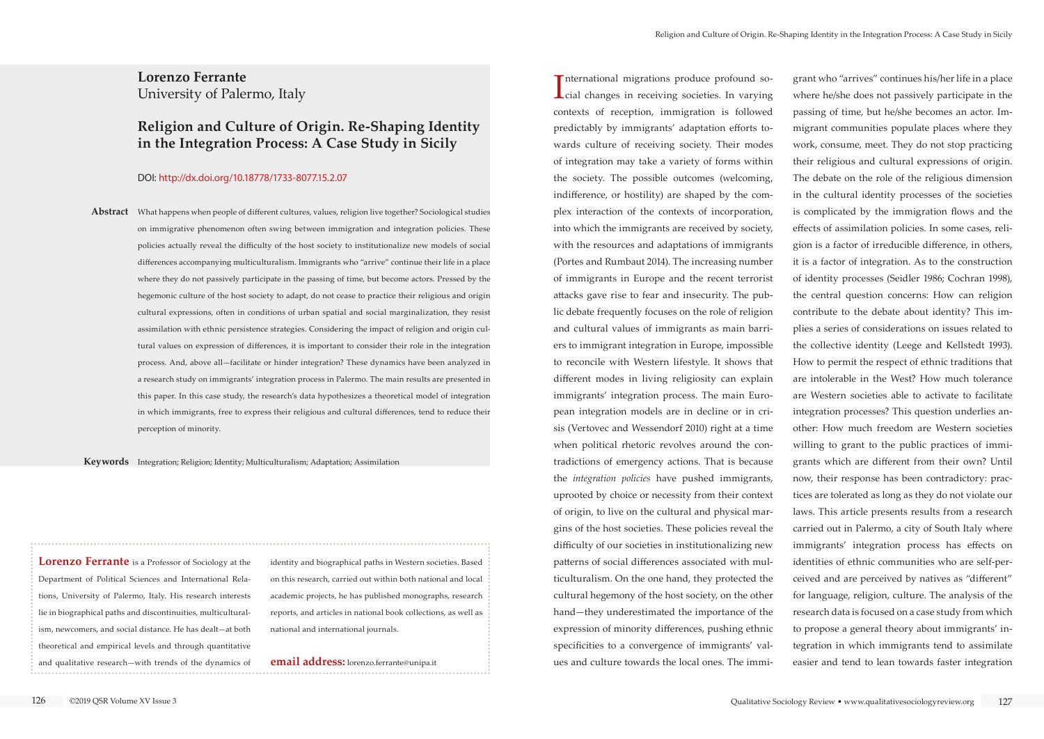**Lorenzo Ferrante** University of Palermo, Italy

## **Religion and Culture of Origin. Re-Shaping Identity in the Integration Process: A Case Study in Sicily**

#### DOI: http://dx.doi.org/10.18778/1733-8077.15.2.07

Abstract What happens when people of different cultures, values, religion live together? Sociological studies on immigrative phenomenon often swing between immigration and integration policies. These policies actually reveal the difficulty of the host society to institutionalize new models of social differences accompanying multiculturalism. Immigrants who "arrive" continue their life in a place where they do not passively participate in the passing of time, but become actors. Pressed by the hegemonic culture of the host society to adapt, do not cease to practice their religious and origin cultural expressions, often in conditions of urban spatial and social marginalization, they resist assimilation with ethnic persistence strategies. Considering the impact of religion and origin cultural values on expression of differences, it is important to consider their role in the integration process. And, above all—facilitate or hinder integration? These dynamics have been analyzed in a research study on immigrants' integration process in Palermo. The main results are presented in this paper. In this case study, the research's data hypothesizes a theoretical model of integration in which immigrants, free to express their religious and cultural differences, tend to reduce their perception of minority.

**Keywords** Integration; Religion; Identity; Multiculturalism; Adaptation; Assimilation

**Lorenzo Ferrante** is a Professor of Sociology at the Department of Political Sciences and International Relations, University of Palermo, Italy. His research interests lie in biographical paths and discontinuities, multiculturalism, newcomers, and social distance. He has dealt—at both theoretical and empirical levels and through quantitative and qualitative research—with trends of the dynamics of

International migrations produce profound so-<br>cial changes in receiving societies. In varying nternational migrations produce profound socontexts of reception, immigration is followed predictably by immigrants' adaptation efforts towards culture of receiving society. Their modes of integration may take a variety of forms within the society. The possible outcomes (welcoming, indifference, or hostility) are shaped by the complex interaction of the contexts of incorporation, into which the immigrants are received by society, with the resources and adaptations of immigrants (Portes and Rumbaut 2014). The increasing number of immigrants in Europe and the recent terrorist attacks gave rise to fear and insecurity. The public debate frequently focuses on the role of religion and cultural values of immigrants as main barriers to immigrant integration in Europe, impossible to reconcile with Western lifestyle. It shows that different modes in living religiosity can explain immigrants' integration process. The main European integration models are in decline or in crisis (Vertovec and Wessendorf 2010) right at a time when political rhetoric revolves around the contradictions of emergency actions. That is because the *integration policies* have pushed immigrants, uprooted by choice or necessity from their context of origin, to live on the cultural and physical margins of the host societies. These policies reveal the difficulty of our societies in institutionalizing new patterns of social differences associated with multiculturalism. On the one hand, they protected the cultural hegemony of the host society, on the other hand—they underestimated the importance of the expression of minority differences, pushing ethnic specificities to a convergence of immigrants' values and culture towards the local ones. The immi-

identity and biographical paths in Western societies. Based on this research, carried out within both national and local academic projects, he has published monographs, research reports, and articles in national book collections, as well as national and international journals.

#### **email address:** [lorenzo.ferrante@unipa.it](mailto:lorenzo.ferrante@unipa.it)

grant who "arrives" continues his/her life in a place where he/she does not passively participate in the passing of time, but he/she becomes an actor. Immigrant communities populate places where they work, consume, meet. They do not stop practicing their religious and cultural expressions of origin. The debate on the role of the religious dimension in the cultural identity processes of the societies is complicated by the immigration flows and the effects of assimilation policies. In some cases, religion is a factor of irreducible difference, in others, it is a factor of integration. As to the construction of identity processes (Seidler 1986; Cochran 1998), the central question concerns: How can religion contribute to the debate about identity? This implies a series of considerations on issues related to the collective identity (Leege and Kellstedt 1993). How to permit the respect of ethnic traditions that are intolerable in the West? How much tolerance are Western societies able to activate to facilitate integration processes? This question underlies another: How much freedom are Western societies willing to grant to the public practices of immigrants which are different from their own? Until now, their response has been contradictory: practices are tolerated as long as they do not violate our laws. This article presents results from a research carried out in Palermo, a city of South Italy where immigrants' integration process has effects on identities of ethnic communities who are self-perceived and are perceived by natives as "different" for language, religion, culture. The analysis of the research data is focused on a case study from which to propose a general theory about immigrants' integration in which immigrants tend to assimilate easier and tend to lean towards faster integration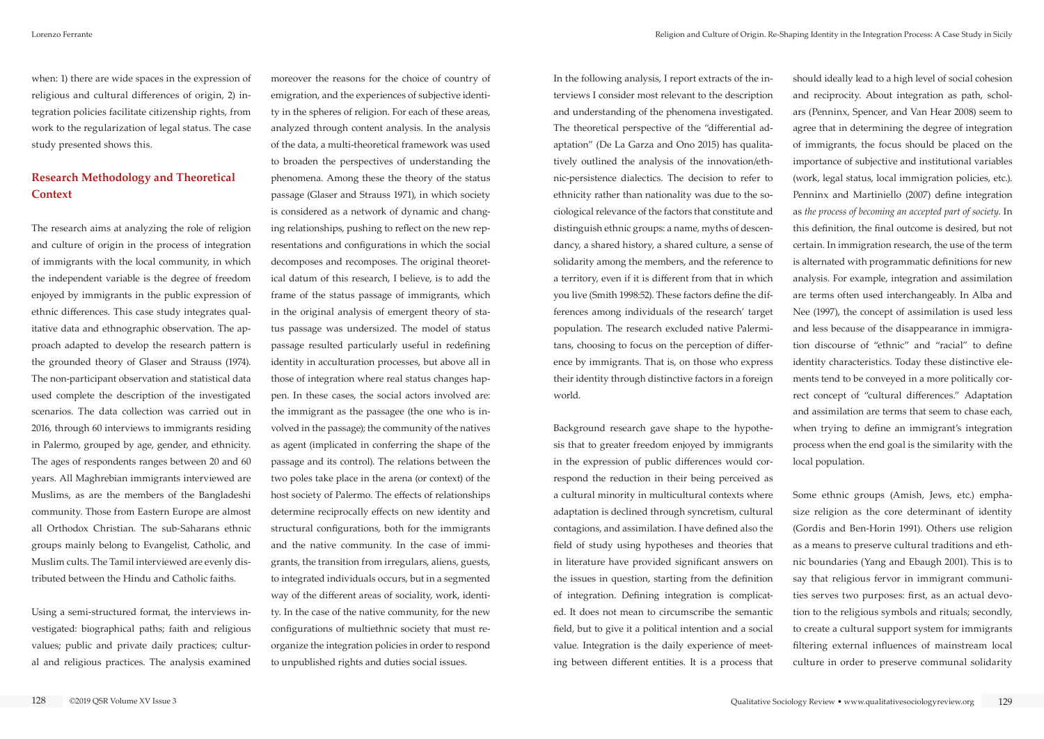when: 1) there are wide spaces in the expression of religious and cultural differences of origin, 2) integration policies facilitate citizenship rights, from work to the regularization of legal status. The case study presented shows this.

### **Research Methodology and Theoretical Context**

The research aims at analyzing the role of religion and culture of origin in the process of integration of immigrants with the local community, in which the independent variable is the degree of freedom enjoyed by immigrants in the public expression of ethnic differences. This case study integrates qualitative data and ethnographic observation. The approach adapted to develop the research pattern is the grounded theory of Glaser and Strauss (1974). The non-participant observation and statistical data used complete the description of the investigated scenarios. The data collection was carried out in 2016, through 60 interviews to immigrants residing in Palermo, grouped by age, gender, and ethnicity. The ages of respondents ranges between 20 and 60 years. All Maghrebian immigrants interviewed are Muslims, as are the members of the Bangladeshi community. Those from Eastern Europe are almost all Orthodox Christian. The sub-Saharans ethnic groups mainly belong to Evangelist, Catholic, and Muslim cults. The Tamil interviewed are evenly distributed between the Hindu and Catholic faiths.

Using a semi-structured format, the interviews investigated: biographical paths; faith and religious values; public and private daily practices; cultural and religious practices. The analysis examined

moreover the reasons for the choice of country of emigration, and the experiences of subjective identity in the spheres of religion. For each of these areas, analyzed through content analysis. In the analysis of the data, a multi-theoretical framework was used to broaden the perspectives of understanding the phenomena. Among these the theory of the status passage (Glaser and Strauss 1971), in which society is considered as a network of dynamic and changing relationships, pushing to reflect on the new representations and configurations in which the social decomposes and recomposes. The original theoretical datum of this research, I believe, is to add the frame of the status passage of immigrants, which in the original analysis of emergent theory of status passage was undersized. The model of status passage resulted particularly useful in redefining identity in acculturation processes, but above all in those of integration where real status changes happen. In these cases, the social actors involved are: the immigrant as the passagee (the one who is involved in the passage); the community of the natives as agent (implicated in conferring the shape of the passage and its control). The relations between the two poles take place in the arena (or context) of the host society of Palermo. The effects of relationships determine reciprocally effects on new identity and structural configurations, both for the immigrants and the native community. In the case of immigrants, the transition from irregulars, aliens, guests, to integrated individuals occurs, but in a segmented way of the different areas of sociality, work, identity. In the case of the native community, for the new configurations of multiethnic society that must reorganize the integration policies in order to respond to unpublished rights and duties social issues.

In the following analysis, I report extracts of the interviews I consider most relevant to the description and understanding of the phenomena investigated. The theoretical perspective of the "differential adaptation" (De La Garza and Ono 2015) has qualitatively outlined the analysis of the innovation/ethnic-persistence dialectics. The decision to refer to ethnicity rather than nationality was due to the sociological relevance of the factors that constitute and distinguish ethnic groups: a name, myths of descendancy, a shared history, a shared culture, a sense of solidarity among the members, and the reference to a territory, even if it is different from that in which you live (Smith 1998:52). These factors define the differences among individuals of the research' target population. The research excluded native Palermitans, choosing to focus on the perception of difference by immigrants. That is, on those who express their identity through distinctive factors in a foreign world.

Background research gave shape to the hypothesis that to greater freedom enjoyed by immigrants in the expression of public differences would correspond the reduction in their being perceived as a cultural minority in multicultural contexts where adaptation is declined through syncretism, cultural contagions, and assimilation. I have defined also the field of study using hypotheses and theories that in literature have provided significant answers on the issues in question, starting from the definition of integration. Defining integration is complicated. It does not mean to circumscribe the semantic field, but to give it a political intention and a social value. Integration is the daily experience of meeting between different entities. It is a process that

should ideally lead to a high level of social cohesion and reciprocity. About integration as path, scholars (Penninx, Spencer, and Van Hear 2008) seem to agree that in determining the degree of integration of immigrants, the focus should be placed on the importance of subjective and institutional variables (work, legal status, local immigration policies, etc.). Penninx and Martiniello (2007) define integration as *the process of becoming an accepted part of society*. In this definition, the final outcome is desired, but not certain. In immigration research, the use of the term is alternated with programmatic definitions for new analysis. For example, integration and assimilation are terms often used interchangeably. In Alba and Nee (1997), the concept of assimilation is used less and less because of the disappearance in immigration discourse of "ethnic" and "racial" to define identity characteristics. Today these distinctive elements tend to be conveyed in a more politically correct concept of "cultural differences." Adaptation and assimilation are terms that seem to chase each, when trying to define an immigrant's integration process when the end goal is the similarity with the local population.

Some ethnic groups (Amish, Jews, etc.) emphasize religion as the core determinant of identity (Gordis and Ben-Horin 1991). Others use religion as a means to preserve cultural traditions and ethnic boundaries (Yang and Ebaugh 2001). This is to say that religious fervor in immigrant communities serves two purposes: first, as an actual devotion to the religious symbols and rituals; secondly, to create a cultural support system for immigrants filtering external influences of mainstream local culture in order to preserve communal solidarity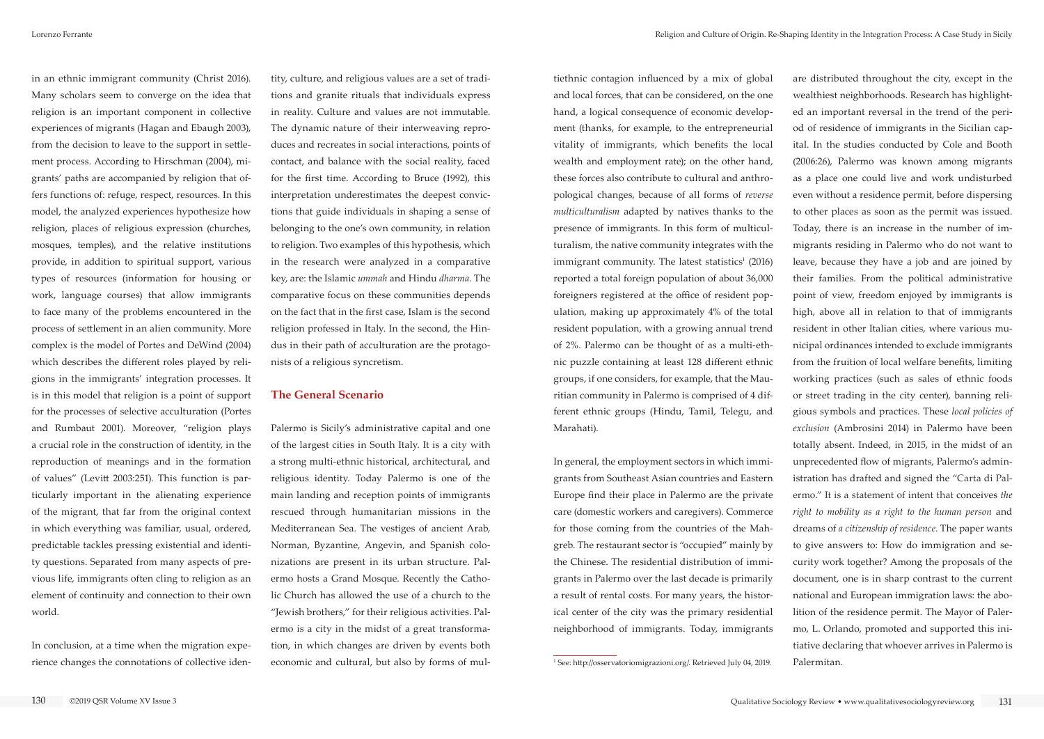in an ethnic immigrant community (Christ 2016). Many scholars seem to converge on the idea that religion is an important component in collective experiences of migrants (Hagan and Ebaugh 2003), from the decision to leave to the support in settlement process. According to Hirschman (2004), migrants' paths are accompanied by religion that offers functions of: refuge, respect, resources. In this model, the analyzed experiences hypothesize how religion, places of religious expression (churches, mosques, temples), and the relative institutions provide, in addition to spiritual support, various types of resources (information for housing or work, language courses) that allow immigrants to face many of the problems encountered in the process of settlement in an alien community. More complex is the model of Portes and DeWind (2004) which describes the different roles played by religions in the immigrants' integration processes. It is in this model that religion is a point of support for the processes of selective acculturation (Portes and Rumbaut 2001). Moreover, "religion plays a crucial role in the construction of identity, in the reproduction of meanings and in the formation of values" (Levitt 2003:251). This function is particularly important in the alienating experience of the migrant, that far from the original context in which everything was familiar, usual, ordered, predictable tackles pressing existential and identity questions. Separated from many aspects of previous life, immigrants often cling to religion as an element of continuity and connection to their own world.

In conclusion, at a time when the migration experience changes the connotations of collective identity, culture, and religious values are a set of traditions and granite rituals that individuals express in reality. Culture and values are not immutable. The dynamic nature of their interweaving reproduces and recreates in social interactions, points of contact, and balance with the social reality, faced for the first time. According to Bruce (1992), this interpretation underestimates the deepest convictions that guide individuals in shaping a sense of belonging to the one's own community, in relation to religion. Two examples of this hypothesis, which in the research were analyzed in a comparative key, are: the Islamic *ummah* and Hindu *dharma*. The comparative focus on these communities depends on the fact that in the first case, Islam is the second religion professed in Italy. In the second, the Hindus in their path of acculturation are the protagonists of a religious syncretism.

### **The General Scenario**

Palermo is Sicily's administrative capital and one of the largest cities in South Italy. It is a city with a strong multi-ethnic historical, architectural, and religious identity. Today Palermo is one of the main landing and reception points of immigrants rescued through humanitarian missions in the Mediterranean Sea. The vestiges of ancient Arab, Norman, Byzantine, Angevin, and Spanish colonizations are present in its urban structure. Palermo hosts a Grand Mosque. Recently the Catholic Church has allowed the use of a church to the "Jewish brothers," for their religious activities. Palermo is a city in the midst of a great transformation, in which changes are driven by events both economic and cultural, but also by forms of multiethnic contagion influenced by a mix of global and local forces, that can be considered, on the one hand, a logical consequence of economic development (thanks, for example, to the entrepreneurial vitality of immigrants, which benefits the local wealth and employment rate); on the other hand, these forces also contribute to cultural and anthropological changes, because of all forms of *reverse multiculturalism* adapted by natives thanks to the presence of immigrants. In this form of multiculturalism, the native community integrates with the immigrant community. The latest statistics<sup>1</sup> (2016) reported a total foreign population of about 36,000 foreigners registered at the office of resident population, making up approximately 4% of the total resident population, with a growing annual trend of 2%. Palermo can be thought of as a multi-ethnic puzzle containing at least 128 different ethnic groups, if one considers, for example, that the Mauritian community in Palermo is comprised of 4 different ethnic groups (Hindu, Tamil, Telegu, and Marahati).

In general, the employment sectors in which immigrants from Southeast Asian countries and Eastern Europe find their place in Palermo are the private care (domestic workers and caregivers). Commerce for those coming from the countries of the Mahgreb. The restaurant sector is "occupied" mainly by the Chinese. The residential distribution of immigrants in Palermo over the last decade is primarily a result of rental costs. For many years, the historical center of the city was the primary residential neighborhood of immigrants. Today, immigrants

are distributed throughout the city, except in the wealthiest neighborhoods. Research has highlighted an important reversal in the trend of the period of residence of immigrants in the Sicilian capital. In the studies conducted by Cole and Booth (2006:26), Palermo was known among migrants as a place one could live and work undisturbed even without a residence permit, before dispersing to other places as soon as the permit was issued. Today, there is an increase in the number of immigrants residing in Palermo who do not want to leave, because they have a job and are joined by their families. From the political administrative point of view, freedom enjoyed by immigrants is high, above all in relation to that of immigrants resident in other Italian cities, where various municipal ordinances intended to exclude immigrants from the fruition of local welfare benefits, limiting working practices (such as sales of ethnic foods or street trading in the city center), banning religious symbols and practices. These *local policies of exclusion* (Ambrosini 2014) in Palermo have been totally absent. Indeed, in 2015, in the midst of an unprecedented flow of migrants, Palermo's administration has drafted and signed the "Carta di Palermo." It is a statement of intent that conceives *the right to mobility as a right to the human person* and dreams of *a citizenship of residence*. The paper wants to give answers to: How do immigration and security work together? Among the proposals of the document, one is in sharp contrast to the current national and European immigration laws: the abolition of the residence permit. The Mayor of Palermo, L. Orlando, promoted and supported this initiative declaring that whoever arrives in Palermo is Palermitan.

<sup>1</sup> See: <http://osservatoriomigrazioni.org/>. Retrieved July 04, 2019.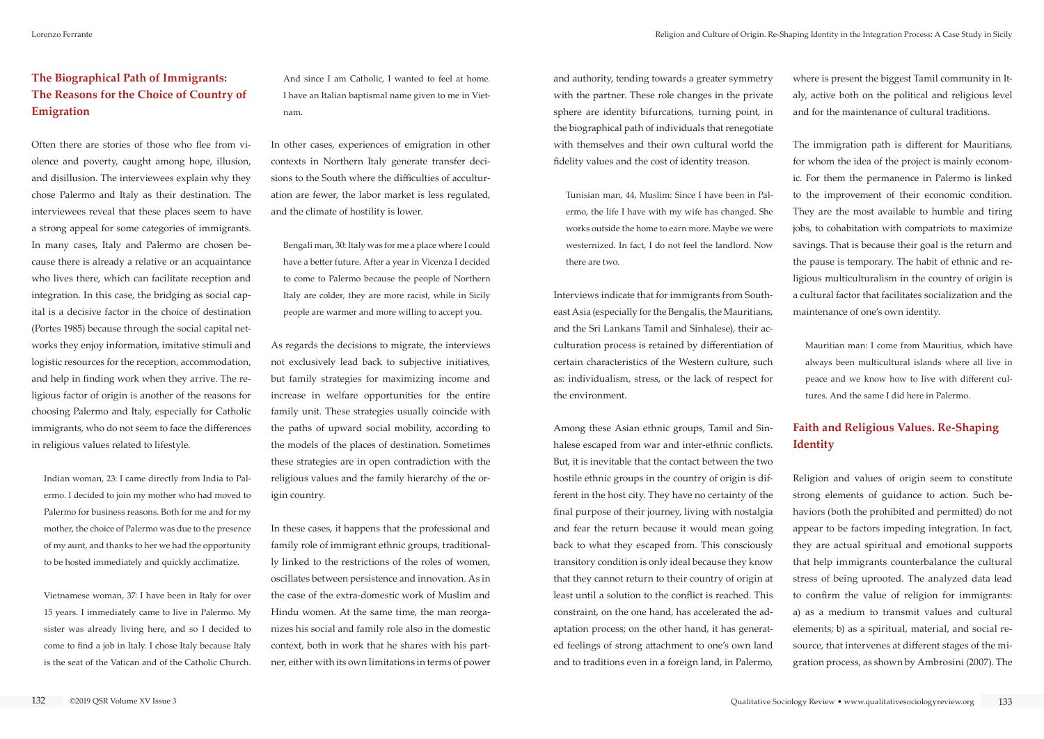## **The Biographical Path of Immigrants: The Reasons for the Choice of Country of Emigration**

Often there are stories of those who flee from violence and poverty, caught among hope, illusion, and disillusion. The interviewees explain why they chose Palermo and Italy as their destination. The interviewees reveal that these places seem to have a strong appeal for some categories of immigrants. In many cases, Italy and Palermo are chosen because there is already a relative or an acquaintance who lives there, which can facilitate reception and integration. In this case, the bridging as social capital is a decisive factor in the choice of destination (Portes 1985) because through the social capital networks they enjoy information, imitative stimuli and logistic resources for the reception, accommodation, and help in finding work when they arrive. The religious factor of origin is another of the reasons for choosing Palermo and Italy, especially for Catholic immigrants, who do not seem to face the differences in religious values related to lifestyle.

Indian woman, 23: I came directly from India to Palermo. I decided to join my mother who had moved to Palermo for business reasons. Both for me and for my mother, the choice of Palermo was due to the presence of my aunt, and thanks to her we had the opportunity to be hosted immediately and quickly acclimatize.

Vietnamese woman, 37: I have been in Italy for over 15 years. I immediately came to live in Palermo. My sister was already living here, and so I decided to come to find a job in Italy. I chose Italy because Italy is the seat of the Vatican and of the Catholic Church.

And since I am Catholic, I wanted to feel at home. I have an Italian baptismal name given to me in Vietnam.

In other cases, experiences of emigration in other contexts in Northern Italy generate transfer decisions to the South where the difficulties of acculturation are fewer, the labor market is less regulated, and the climate of hostility is lower.

Bengali man, 30: Italy was for me a place where I could have a better future. After a year in Vicenza I decided to come to Palermo because the people of Northern Italy are colder, they are more racist, while in Sicily people are warmer and more willing to accept you.

As regards the decisions to migrate, the interviews not exclusively lead back to subjective initiatives, but family strategies for maximizing income and increase in welfare opportunities for the entire family unit. These strategies usually coincide with the paths of upward social mobility, according to the models of the places of destination. Sometimes these strategies are in open contradiction with the religious values and the family hierarchy of the origin country.

In these cases, it happens that the professional and family role of immigrant ethnic groups, traditionally linked to the restrictions of the roles of women, oscillates between persistence and innovation. As in the case of the extra-domestic work of Muslim and Hindu women. At the same time, the man reorganizes his social and family role also in the domestic context, both in work that he shares with his partner, either with its own limitations in terms of power

and authority, tending towards a greater symmetry with the partner. These role changes in the private sphere are identity bifurcations, turning point, in the biographical path of individuals that renegotiate with themselves and their own cultural world the fidelity values and the cost of identity treason.

Tunisian man, 44, Muslim: Since I have been in Palermo, the life I have with my wife has changed. She works outside the home to earn more. Maybe we were westernized. In fact, I do not feel the landlord. Now there are two.

Interviews indicate that for immigrants from Southeast Asia (especially for the Bengalis, the Mauritians, and the Sri Lankans Tamil and Sinhalese), their acculturation process is retained by differentiation of certain characteristics of the Western culture, such as: individualism, stress, or the lack of respect for the environment.

Among these Asian ethnic groups, Tamil and Sinhalese escaped from war and inter-ethnic conflicts. But, it is inevitable that the contact between the two hostile ethnic groups in the country of origin is different in the host city. They have no certainty of the final purpose of their journey, living with nostalgia and fear the return because it would mean going back to what they escaped from. This consciously transitory condition is only ideal because they know that they cannot return to their country of origin at least until a solution to the conflict is reached. This constraint, on the one hand, has accelerated the adaptation process; on the other hand, it has generated feelings of strong attachment to one's own land and to traditions even in a foreign land, in Palermo,

where is present the biggest Tamil community in Italy, active both on the political and religious level and for the maintenance of cultural traditions.

The immigration path is different for Mauritians, for whom the idea of the project is mainly economic. For them the permanence in Palermo is linked to the improvement of their economic condition. They are the most available to humble and tiring jobs, to cohabitation with compatriots to maximize savings. That is because their goal is the return and the pause is temporary. The habit of ethnic and religious multiculturalism in the country of origin is a cultural factor that facilitates socialization and the maintenance of one's own identity.

Mauritian man: I come from Mauritius, which have always been multicultural islands where all live in peace and we know how to live with different cultures. And the same I did here in Palermo.

# **Faith and Religious Values. Re-Shaping Identity**

Religion and values of origin seem to constitute strong elements of guidance to action. Such behaviors (both the prohibited and permitted) do not appear to be factors impeding integration. In fact, they are actual spiritual and emotional supports that help immigrants counterbalance the cultural stress of being uprooted. The analyzed data lead to confirm the value of religion for immigrants: a) as a medium to transmit values and cultural elements; b) as a spiritual, material, and social resource, that intervenes at different stages of the migration process, as shown by Ambrosini (2007). The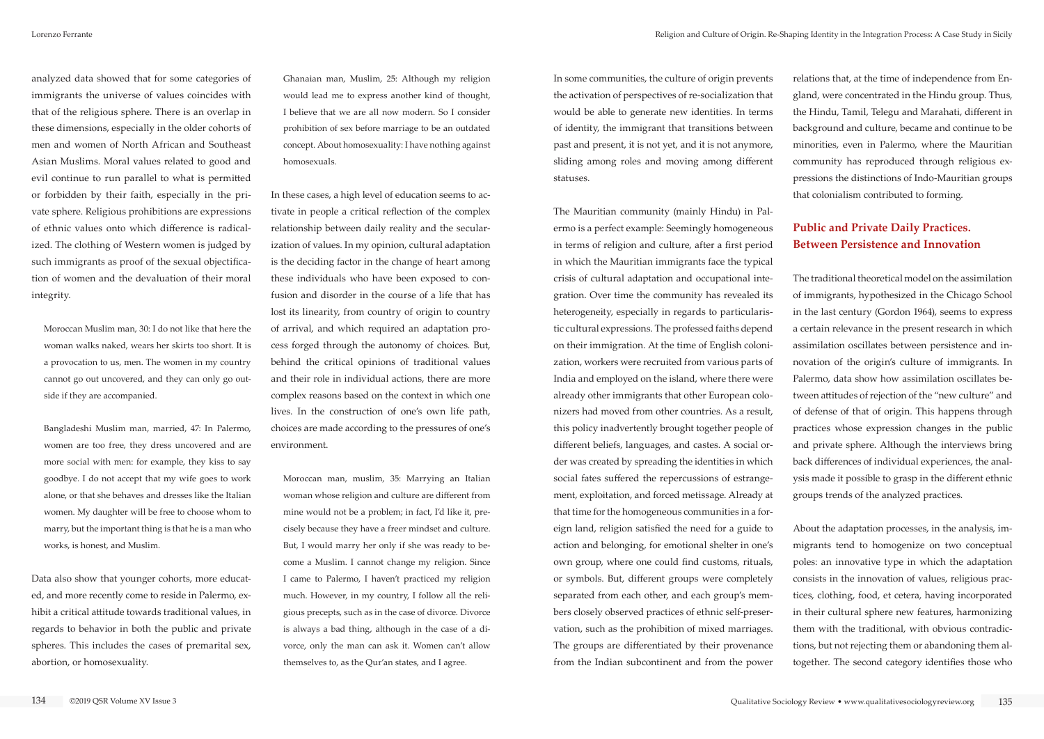analyzed data showed that for some categories of immigrants the universe of values coincides with that of the religious sphere. There is an overlap in these dimensions, especially in the older cohorts of men and women of North African and Southeast Asian Muslims. Moral values related to good and evil continue to run parallel to what is permitted or forbidden by their faith, especially in the private sphere. Religious prohibitions are expressions of ethnic values onto which difference is radicalized. The clothing of Western women is judged by such immigrants as proof of the sexual objectification of women and the devaluation of their moral integrity.

Moroccan Muslim man, 30: I do not like that here the woman walks naked, wears her skirts too short. It is a provocation to us, men. The women in my country cannot go out uncovered, and they can only go outside if they are accompanied.

Bangladeshi Muslim man, married, 47: In Palermo, women are too free, they dress uncovered and are more social with men: for example, they kiss to say goodbye. I do not accept that my wife goes to work alone, or that she behaves and dresses like the Italian women. My daughter will be free to choose whom to marry, but the important thing is that he is a man who works, is honest, and Muslim.

Data also show that younger cohorts, more educated, and more recently come to reside in Palermo, exhibit a critical attitude towards traditional values, in regards to behavior in both the public and private spheres. This includes the cases of premarital sex, abortion, or homosexuality.

Ghanaian man, Muslim, 25: Although my religion would lead me to express another kind of thought, I believe that we are all now modern. So I consider prohibition of sex before marriage to be an outdated concept. About homosexuality: I have nothing against homosexuals.

In these cases, a high level of education seems to activate in people a critical reflection of the complex relationship between daily reality and the secularization of values. In my opinion, cultural adaptation is the deciding factor in the change of heart among these individuals who have been exposed to confusion and disorder in the course of a life that has lost its linearity, from country of origin to country of arrival, and which required an adaptation process forged through the autonomy of choices. But, behind the critical opinions of traditional values and their role in individual actions, there are more complex reasons based on the context in which one lives. In the construction of one's own life path, choices are made according to the pressures of one's environment.

Moroccan man, muslim, 35: Marrying an Italian woman whose religion and culture are different from mine would not be a problem; in fact, I'd like it, precisely because they have a freer mindset and culture. But, I would marry her only if she was ready to become a Muslim. I cannot change my religion. Since I came to Palermo, I haven't practiced my religion much. However, in my country, I follow all the religious precepts, such as in the case of divorce. Divorce is always a bad thing, although in the case of a divorce, only the man can ask it. Women can't allow themselves to, as the Qur'an states, and I agree.

In some communities, the culture of origin prevents the activation of perspectives of re-socialization that would be able to generate new identities. In terms of identity, the immigrant that transitions between past and present, it is not yet, and it is not anymore, sliding among roles and moving among different statuses.

The Mauritian community (mainly Hindu) in Palermo is a perfect example: Seemingly homogeneous in terms of religion and culture, after a first period in which the Mauritian immigrants face the typical crisis of cultural adaptation and occupational integration. Over time the community has revealed its heterogeneity, especially in regards to particularistic cultural expressions. The professed faiths depend on their immigration. At the time of English colonization, workers were recruited from various parts of India and employed on the island, where there were already other immigrants that other European colonizers had moved from other countries. As a result, this policy inadvertently brought together people of different beliefs, languages, and castes. A social order was created by spreading the identities in which social fates suffered the repercussions of estrangement, exploitation, and forced metissage. Already at that time for the homogeneous communities in a foreign land, religion satisfied the need for a guide to action and belonging, for emotional shelter in one's own group, where one could find customs, rituals, or symbols. But, different groups were completely separated from each other, and each group's members closely observed practices of ethnic self-preservation, such as the prohibition of mixed marriages. The groups are differentiated by their provenance from the Indian subcontinent and from the power

relations that, at the time of independence from England, were concentrated in the Hindu group. Thus, the Hindu, Tamil, Telegu and Marahati, different in background and culture, became and continue to be minorities, even in Palermo, where the Mauritian community has reproduced through religious expressions the distinctions of Indo-Mauritian groups that colonialism contributed to forming.

## **Public and Private Daily Practices. Between Persistence and Innovation**

The traditional theoretical model on the assimilation of immigrants, hypothesized in the Chicago School in the last century (Gordon 1964), seems to express a certain relevance in the present research in which assimilation oscillates between persistence and innovation of the origin's culture of immigrants. In Palermo, data show how assimilation oscillates between attitudes of rejection of the "new culture" and of defense of that of origin. This happens through practices whose expression changes in the public and private sphere. Although the interviews bring back differences of individual experiences, the analysis made it possible to grasp in the different ethnic groups trends of the analyzed practices.

About the adaptation processes, in the analysis, immigrants tend to homogenize on two conceptual poles: an innovative type in which the adaptation consists in the innovation of values, religious practices, clothing, food, et cetera, having incorporated in their cultural sphere new features, harmonizing them with the traditional, with obvious contradictions, but not rejecting them or abandoning them altogether. The second category identifies those who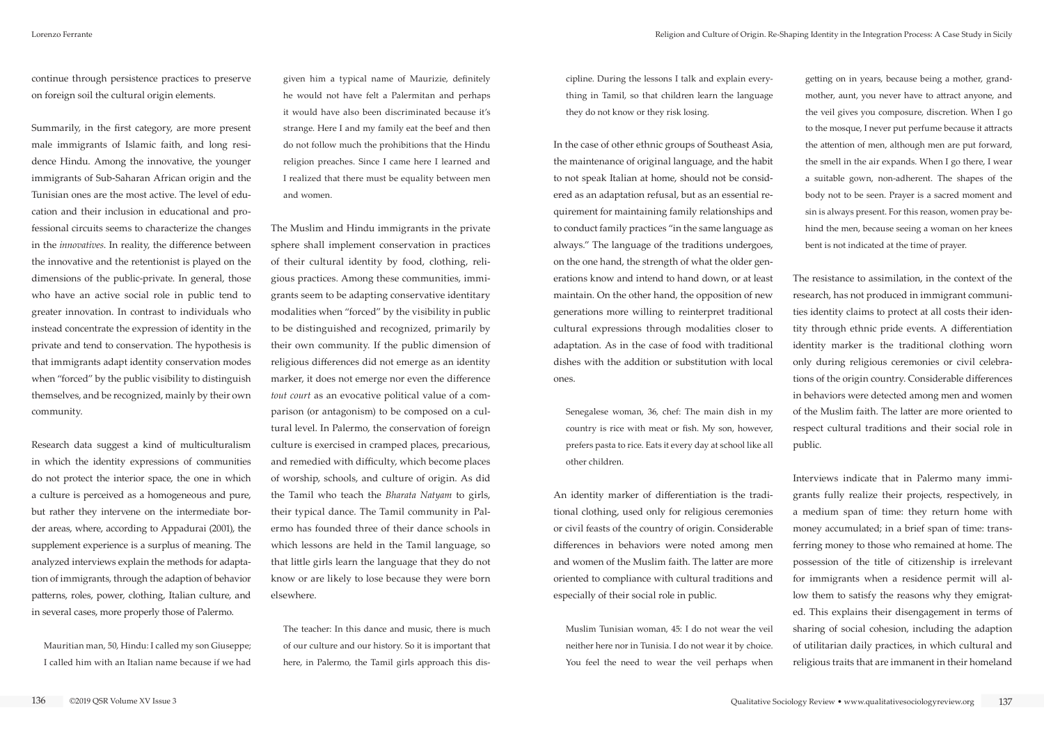continue through persistence practices to preserve on foreign soil the cultural origin elements.

Summarily, in the first category, are more present male immigrants of Islamic faith, and long residence Hindu. Among the innovative, the younger immigrants of Sub-Saharan African origin and the Tunisian ones are the most active. The level of education and their inclusion in educational and professional circuits seems to characterize the changes in the *innovatives*. In reality, the difference between the innovative and the retentionist is played on the dimensions of the public-private. In general, those who have an active social role in public tend to greater innovation. In contrast to individuals who instead concentrate the expression of identity in the private and tend to conservation. The hypothesis is that immigrants adapt identity conservation modes when "forced" by the public visibility to distinguish themselves, and be recognized, mainly by their own community.

Research data suggest a kind of multiculturalism in which the identity expressions of communities do not protect the interior space, the one in which a culture is perceived as a homogeneous and pure, but rather they intervene on the intermediate border areas, where, according to Appadurai (2001), the supplement experience is a surplus of meaning. The analyzed interviews explain the methods for adaptation of immigrants, through the adaption of behavior patterns, roles, power, clothing, Italian culture, and in several cases, more properly those of Palermo.

Mauritian man, 50, Hindu: I called my son Giuseppe; I called him with an Italian name because if we had given him a typical name of Maurizie, definitely he would not have felt a Palermitan and perhaps it would have also been discriminated because it's strange. Here I and my family eat the beef and then do not follow much the prohibitions that the Hindu religion preaches. Since I came here I learned and I realized that there must be equality between men and women.

The Muslim and Hindu immigrants in the private sphere shall implement conservation in practices of their cultural identity by food, clothing, religious practices. Among these communities, immigrants seem to be adapting conservative identitary modalities when "forced" by the visibility in public to be distinguished and recognized, primarily by their own community. If the public dimension of religious differences did not emerge as an identity marker, it does not emerge nor even the difference *tout court* as an evocative political value of a comparison (or antagonism) to be composed on a cultural level. In Palermo, the conservation of foreign culture is exercised in cramped places, precarious, and remedied with difficulty, which become places of worship, schools, and culture of origin. As did the Tamil who teach the *Bharata Natyam* to girls, their typical dance. The Tamil community in Palermo has founded three of their dance schools in which lessons are held in the Tamil language, so that little girls learn the language that they do not know or are likely to lose because they were born elsewhere.

The teacher: In this dance and music, there is much of our culture and our history. So it is important that here, in Palermo, the Tamil girls approach this discipline. During the lessons I talk and explain everything in Tamil, so that children learn the language they do not know or they risk losing.

In the case of other ethnic groups of Southeast Asia, the maintenance of original language, and the habit to not speak Italian at home, should not be considered as an adaptation refusal, but as an essential requirement for maintaining family relationships and to conduct family practices "in the same language as always." The language of the traditions undergoes, on the one hand, the strength of what the older generations know and intend to hand down, or at least maintain. On the other hand, the opposition of new generations more willing to reinterpret traditional cultural expressions through modalities closer to adaptation. As in the case of food with traditional dishes with the addition or substitution with local ones.

Senegalese woman, 36, chef: The main dish in my country is rice with meat or fish. My son, however, prefers pasta to rice. Eats it every day at school like all other children.

An identity marker of differentiation is the traditional clothing, used only for religious ceremonies or civil feasts of the country of origin. Considerable differences in behaviors were noted among men and women of the Muslim faith. The latter are more oriented to compliance with cultural traditions and especially of their social role in public.

Muslim Tunisian woman, 45: I do not wear the veil neither here nor in Tunisia. I do not wear it by choice. You feel the need to wear the veil perhaps when

getting on in years, because being a mother, grandmother, aunt, you never have to attract anyone, and the veil gives you composure, discretion. When I go to the mosque, I never put perfume because it attracts the attention of men, although men are put forward, the smell in the air expands. When I go there, I wear a suitable gown, non-adherent. The shapes of the body not to be seen. Prayer is a sacred moment and sin is always present. For this reason, women pray behind the men, because seeing a woman on her knees bent is not indicated at the time of prayer.

The resistance to assimilation, in the context of the research, has not produced in immigrant communities identity claims to protect at all costs their identity through ethnic pride events. A differentiation identity marker is the traditional clothing worn only during religious ceremonies or civil celebrations of the origin country. Considerable differences in behaviors were detected among men and women of the Muslim faith. The latter are more oriented to respect cultural traditions and their social role in public.

Interviews indicate that in Palermo many immigrants fully realize their projects, respectively, in a medium span of time: they return home with money accumulated; in a brief span of time: transferring money to those who remained at home. The possession of the title of citizenship is irrelevant for immigrants when a residence permit will allow them to satisfy the reasons why they emigrated. This explains their disengagement in terms of sharing of social cohesion, including the adaption of utilitarian daily practices, in which cultural and religious traits that are immanent in their homeland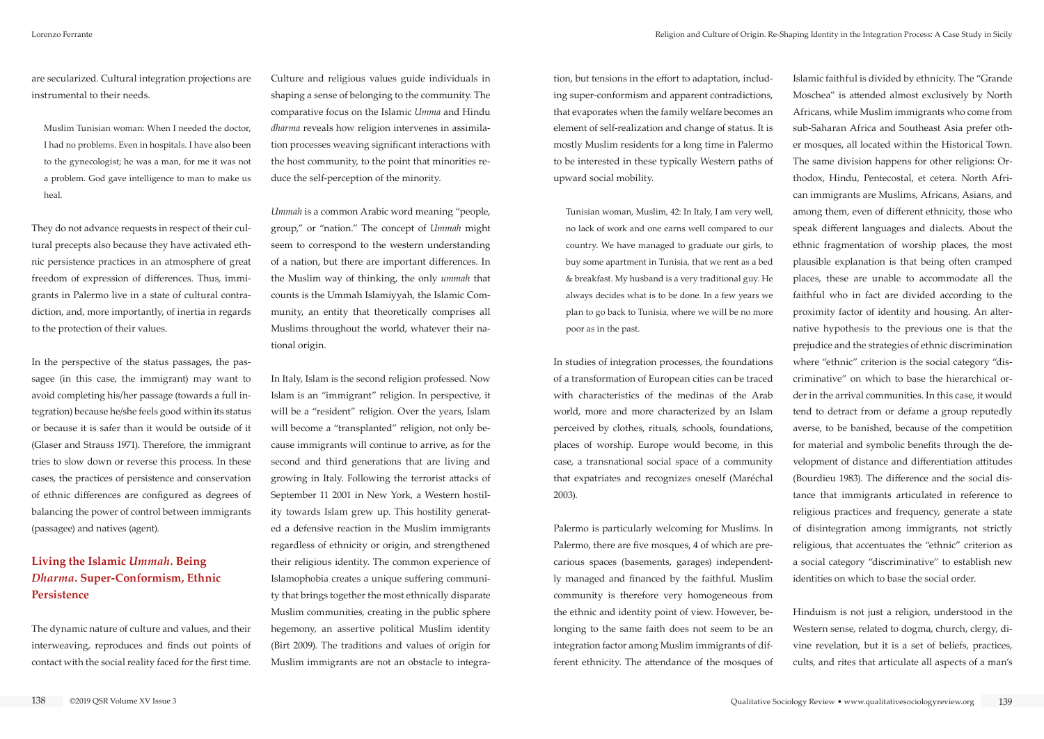are secularized. Cultural integration projections are instrumental to their needs.

Muslim Tunisian woman: When I needed the doctor, I had no problems. Even in hospitals. I have also been to the gynecologist; he was a man, for me it was not a problem. God gave intelligence to man to make us heal.

They do not advance requests in respect of their cultural precepts also because they have activated ethnic persistence practices in an atmosphere of great freedom of expression of differences. Thus, immigrants in Palermo live in a state of cultural contradiction, and, more importantly, of inertia in regards to the protection of their values.

In the perspective of the status passages, the passagee (in this case, the immigrant) may want to avoid completing his/her passage (towards a full integration) because he/she feels good within its status or because it is safer than it would be outside of it (Glaser and Strauss 1971). Therefore, the immigrant tries to slow down or reverse this process. In these cases, the practices of persistence and conservation of ethnic differences are configured as degrees of balancing the power of control between immigrants (passagee) and natives (agent).

## **Living the Islamic** *Ummah***. Being**  *Dharma***. Super-Conformism, Ethnic Persistence**

The dynamic nature of culture and values, and their interweaving, reproduces and finds out points of contact with the social reality faced for the first time.

Culture and religious values guide individuals in shaping a sense of belonging to the community. The comparative focus on the Islamic *Umma* and Hindu *dharma* reveals how religion intervenes in assimilation processes weaving significant interactions with the host community, to the point that minorities reduce the self-perception of the minority.

*Ummah* is a common Arabic word meaning "people, group," or "nation." The concept of *Ummah* might seem to correspond to the western understanding of a nation, but there are important differences. In the Muslim way of thinking, the only *ummah* that counts is the Ummah Islamiyyah, the Islamic Community, an entity that theoretically comprises all Muslims throughout the world, whatever their national origin.

In Italy, Islam is the second religion professed. Now Islam is an "immigrant" religion. In perspective, it will be a "resident" religion. Over the years, Islam will become a "transplanted" religion, not only because immigrants will continue to arrive, as for the second and third generations that are living and growing in Italy. Following the terrorist attacks of September 11 2001 in New York, a Western hostility towards Islam grew up. This hostility generated a defensive reaction in the Muslim immigrants regardless of ethnicity or origin, and strengthened their religious identity. The common experience of Islamophobia creates a unique suffering community that brings together the most ethnically disparate Muslim communities, creating in the public sphere hegemony, an assertive political Muslim identity (Birt 2009). The traditions and values of origin for Muslim immigrants are not an obstacle to integration, but tensions in the effort to adaptation, including super-conformism and apparent contradictions, that evaporates when the family welfare becomes an element of self-realization and change of status. It is mostly Muslim residents for a long time in Palermo to be interested in these typically Western paths of upward social mobility.

Tunisian woman, Muslim, 42: In Italy, I am very well, no lack of work and one earns well compared to our country. We have managed to graduate our girls, to buy some apartment in Tunisia, that we rent as a bed & breakfast. My husband is a very traditional guy. He always decides what is to be done. In a few years we plan to go back to Tunisia, where we will be no more poor as in the past.

In studies of integration processes, the foundations of a transformation of European cities can be traced with characteristics of the medinas of the Arab world, more and more characterized by an Islam perceived by clothes, rituals, schools, foundations, places of worship. Europe would become, in this case, a transnational social space of a community that expatriates and recognizes oneself (Maréchal 2003).

Palermo is particularly welcoming for Muslims. In Palermo, there are five mosques, 4 of which are precarious spaces (basements, garages) independently managed and financed by the faithful. Muslim community is therefore very homogeneous from the ethnic and identity point of view. However, belonging to the same faith does not seem to be an integration factor among Muslim immigrants of different ethnicity. The attendance of the mosques of

Islamic faithful is divided by ethnicity. The "Grande Moschea" is attended almost exclusively by North Africans, while Muslim immigrants who come from sub-Saharan Africa and Southeast Asia prefer other mosques, all located within the Historical Town. The same division happens for other religions: Orthodox, Hindu, Pentecostal, et cetera. North African immigrants are Muslims, Africans, Asians, and among them, even of different ethnicity, those who speak different languages and dialects. About the ethnic fragmentation of worship places, the most plausible explanation is that being often cramped places, these are unable to accommodate all the faithful who in fact are divided according to the proximity factor of identity and housing. An alternative hypothesis to the previous one is that the prejudice and the strategies of ethnic discrimination where "ethnic" criterion is the social category "discriminative" on which to base the hierarchical order in the arrival communities. In this case, it would tend to detract from or defame a group reputedly averse, to be banished, because of the competition for material and symbolic benefits through the development of distance and differentiation attitudes (Bourdieu 1983). The difference and the social distance that immigrants articulated in reference to religious practices and frequency, generate a state of disintegration among immigrants, not strictly religious, that accentuates the "ethnic" criterion as a social category "discriminative" to establish new identities on which to base the social order.

Hinduism is not just a religion, understood in the Western sense, related to dogma, church, clergy, divine revelation, but it is a set of beliefs, practices, cults, and rites that articulate all aspects of a man's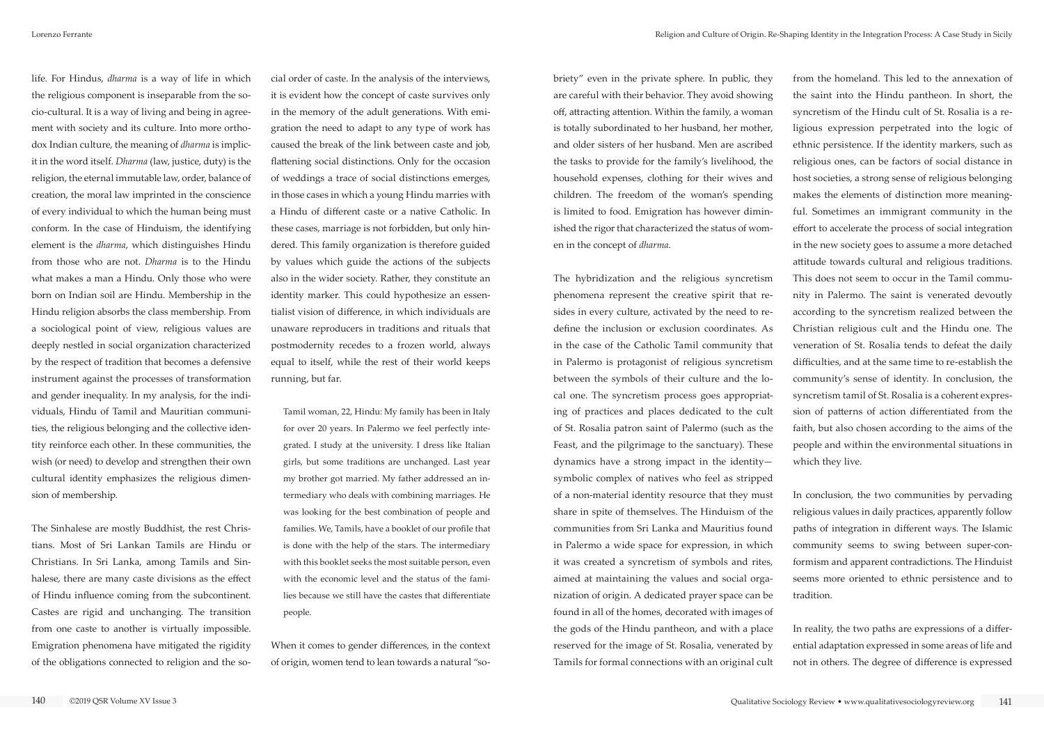briety" even in the private sphere. In public, they are careful with their behavior. They avoid showing off, attracting attention. Within the family, a woman is totally subordinated to her husband, her mother, and older sisters of her husband. Men are ascribed the tasks to provide for the family's livelihood, the household expenses, clothing for their wives and children. The freedom of the woman's spending is limited to food. Emigration has however diminished the rigor that characterized the status of women in the concept of *dharma*.

The hybridization and the religious syncretism phenomena represent the creative spirit that resides in every culture, activated by the need to redefine the inclusion or exclusion coordinates. As in the case of the Catholic Tamil community that in Palermo is protagonist of religious syncretism between the symbols of their culture and the local one. The syncretism process goes appropriating of practices and places dedicated to the cult of St. Rosalia patron saint of Palermo (such as the Feast, and the pilgrimage to the sanctuary). These dynamics have a strong impact in the identity symbolic complex of natives who feel as stripped of a non-material identity resource that they must share in spite of themselves. The Hinduism of the communities from Sri Lanka and Mauritius found in Palermo a wide space for expression, in which it was created a syncretism of symbols and rites, aimed at maintaining the values and social organization of origin. A dedicated prayer space can be found in all of the homes, decorated with images of the gods of the Hindu pantheon, and with a place reserved for the image of St. Rosalia, venerated by Tamils for formal connections with an original cult

from the homeland. This led to the annexation of the saint into the Hindu pantheon. In short, the syncretism of the Hindu cult of St. Rosalia is a religious expression perpetrated into the logic of ethnic persistence. If the identity markers, such as religious ones, can be factors of social distance in host societies, a strong sense of religious belonging makes the elements of distinction more meaningful. Sometimes an immigrant community in the effort to accelerate the process of social integration in the new society goes to assume a more detached attitude towards cultural and religious traditions. This does not seem to occur in the Tamil community in Palermo. The saint is venerated devoutly according to the syncretism realized between the Christian religious cult and the Hindu one. The veneration of St. Rosalia tends to defeat the daily difficulties, and at the same time to re-establish the community's sense of identity. In conclusion, the syncretism tamil of St. Rosalia is a coherent expression of patterns of action differentiated from the faith, but also chosen according to the aims of the people and within the environmental situations in which they live.

In conclusion, the two communities by pervading religious values in daily practices, apparently follow paths of integration in different ways. The Islamic community seems to swing between super-conformism and apparent contradictions. The Hinduist seems more oriented to ethnic persistence and to tradition.

In reality, the two paths are expressions of a differential adaptation expressed in some areas of life and not in others. The degree of difference is expressed

life. For Hindus, *dharma* is a way of life in which the religious component is inseparable from the socio-cultural. It is a way of living and being in agreement with society and its culture. Into more orthodox Indian culture, the meaning of *dharma* is implicit in the word itself. *Dharma* (law, justice, duty) is the religion, the eternal immutable law, order, balance of creation, the moral law imprinted in the conscience of every individual to which the human being must conform. In the case of Hinduism, the identifying element is the *dharma*, which distinguishes Hindu from those who are not. *Dharma* is to the Hindu what makes a man a Hindu. Only those who were born on Indian soil are Hindu. Membership in the Hindu religion absorbs the class membership. From a sociological point of view, religious values are deeply nestled in social organization characterized by the respect of tradition that becomes a defensive instrument against the processes of transformation and gender inequality. In my analysis, for the individuals, Hindu of Tamil and Mauritian communities, the religious belonging and the collective identity reinforce each other. In these communities, the wish (or need) to develop and strengthen their own cultural identity emphasizes the religious dimension of membership.

The Sinhalese are mostly Buddhist, the rest Christians. Most of Sri Lankan Tamils are Hindu or Christians. In Sri Lanka, among Tamils and Sinhalese, there are many caste divisions as the effect of Hindu influence coming from the subcontinent. Castes are rigid and unchanging. The transition from one caste to another is virtually impossible. Emigration phenomena have mitigated the rigidity of the obligations connected to religion and the social order of caste. In the analysis of the interviews, it is evident how the concept of caste survives only in the memory of the adult generations. With emigration the need to adapt to any type of work has caused the break of the link between caste and job, flattening social distinctions. Only for the occasion of weddings a trace of social distinctions emerges, in those cases in which a young Hindu marries with a Hindu of different caste or a native Catholic. In these cases, marriage is not forbidden, but only hindered. This family organization is therefore guided by values which guide the actions of the subjects also in the wider society. Rather, they constitute an identity marker. This could hypothesize an essentialist vision of difference, in which individuals are unaware reproducers in traditions and rituals that postmodernity recedes to a frozen world, always equal to itself, while the rest of their world keeps running, but far.

Tamil woman, 22, Hindu: My family has been in Italy for over 20 years. In Palermo we feel perfectly integrated. I study at the university. I dress like Italian girls, but some traditions are unchanged. Last year my brother got married. My father addressed an intermediary who deals with combining marriages. He was looking for the best combination of people and families. We, Tamils, have a booklet of our profile that is done with the help of the stars. The intermediary with this booklet seeks the most suitable person, even with the economic level and the status of the families because we still have the castes that differentiate people.

When it comes to gender differences, in the context of origin, women tend to lean towards a natural "so-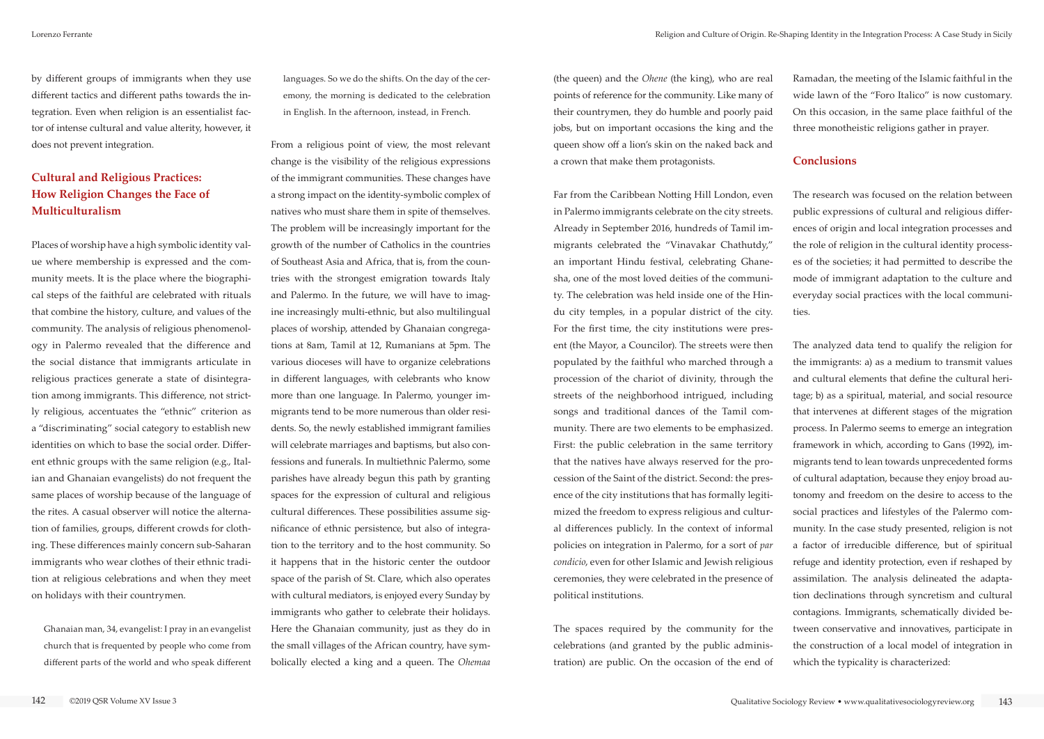(the queen) and the *Ohene* (the king), who are real points of reference for the community. Like many of their countrymen, they do humble and poorly paid jobs, but on important occasions the king and the queen show off a lion's skin on the naked back and a crown that make them protagonists.

Far from the Caribbean Notting Hill London, even in Palermo immigrants celebrate on the city streets. Already in September 2016, hundreds of Tamil immigrants celebrated the "Vinavakar Chathutdy," an important Hindu festival, celebrating Ghanesha, one of the most loved deities of the community. The celebration was held inside one of the Hindu city temples, in a popular district of the city. For the first time, the city institutions were present (the Mayor, a Councilor). The streets were then populated by the faithful who marched through a procession of the chariot of divinity, through the streets of the neighborhood intrigued, including songs and traditional dances of the Tamil community. There are two elements to be emphasized. First: the public celebration in the same territory that the natives have always reserved for the procession of the Saint of the district. Second: the presence of the city institutions that has formally legitimized the freedom to express religious and cultural differences publicly. In the context of informal policies on integration in Palermo, for a sort of *par condicio*, even for other Islamic and Jewish religious ceremonies, they were celebrated in the presence of political institutions.

The spaces required by the community for the celebrations (and granted by the public administration) are public. On the occasion of the end of

Ramadan, the meeting of the Islamic faithful in the wide lawn of the "Foro Italico" is now customary. On this occasion, in the same place faithful of the three monotheistic religions gather in prayer.

### **Conclusions**

The research was focused on the relation between public expressions of cultural and religious differences of origin and local integration processes and the role of religion in the cultural identity processes of the societies; it had permitted to describe the mode of immigrant adaptation to the culture and everyday social practices with the local communities.

The analyzed data tend to qualify the religion for the immigrants: a) as a medium to transmit values and cultural elements that define the cultural heritage; b) as a spiritual, material, and social resource that intervenes at different stages of the migration process. In Palermo seems to emerge an integration framework in which, according to Gans (1992), immigrants tend to lean towards unprecedented forms of cultural adaptation, because they enjoy broad autonomy and freedom on the desire to access to the social practices and lifestyles of the Palermo community. In the case study presented, religion is not a factor of irreducible difference, but of spiritual refuge and identity protection, even if reshaped by assimilation. The analysis delineated the adaptation declinations through syncretism and cultural contagions. Immigrants, schematically divided between conservative and innovatives, participate in the construction of a local model of integration in which the typicality is characterized:

by different groups of immigrants when they use different tactics and different paths towards the integration. Even when religion is an essentialist factor of intense cultural and value alterity, however, it does not prevent integration.

## **Cultural and Religious Practices: How Religion Changes the Face of Multiculturalism**

Places of worship have a high symbolic identity value where membership is expressed and the community meets. It is the place where the biographical steps of the faithful are celebrated with rituals that combine the history, culture, and values of the community. The analysis of religious phenomenology in Palermo revealed that the difference and the social distance that immigrants articulate in religious practices generate a state of disintegration among immigrants. This difference, not strictly religious, accentuates the "ethnic" criterion as a "discriminating" social category to establish new identities on which to base the social order. Different ethnic groups with the same religion (e.g., Italian and Ghanaian evangelists) do not frequent the same places of worship because of the language of the rites. A casual observer will notice the alternation of families, groups, different crowds for clothing. These differences mainly concern sub-Saharan immigrants who wear clothes of their ethnic tradition at religious celebrations and when they meet on holidays with their countrymen.

Ghanaian man, 34, evangelist: I pray in an evangelist church that is frequented by people who come from different parts of the world and who speak different languages. So we do the shifts. On the day of the ceremony, the morning is dedicated to the celebration in English. In the afternoon, instead, in French.

From a religious point of view, the most relevant change is the visibility of the religious expressions of the immigrant communities. These changes have a strong impact on the identity-symbolic complex of natives who must share them in spite of themselves. The problem will be increasingly important for the growth of the number of Catholics in the countries of Southeast Asia and Africa, that is, from the countries with the strongest emigration towards Italy and Palermo. In the future, we will have to imagine increasingly multi-ethnic, but also multilingual places of worship, attended by Ghanaian congregations at 8am, Tamil at 12, Rumanians at 5pm. The various dioceses will have to organize celebrations in different languages, with celebrants who know more than one language. In Palermo, younger immigrants tend to be more numerous than older residents. So, the newly established immigrant families will celebrate marriages and baptisms, but also confessions and funerals. In multiethnic Palermo, some parishes have already begun this path by granting spaces for the expression of cultural and religious cultural differences. These possibilities assume significance of ethnic persistence, but also of integration to the territory and to the host community. So it happens that in the historic center the outdoor space of the parish of St. Clare, which also operates with cultural mediators, is enjoyed every Sunday by immigrants who gather to celebrate their holidays. Here the Ghanaian community, just as they do in the small villages of the African country, have symbolically elected a king and a queen. The *Ohemaa*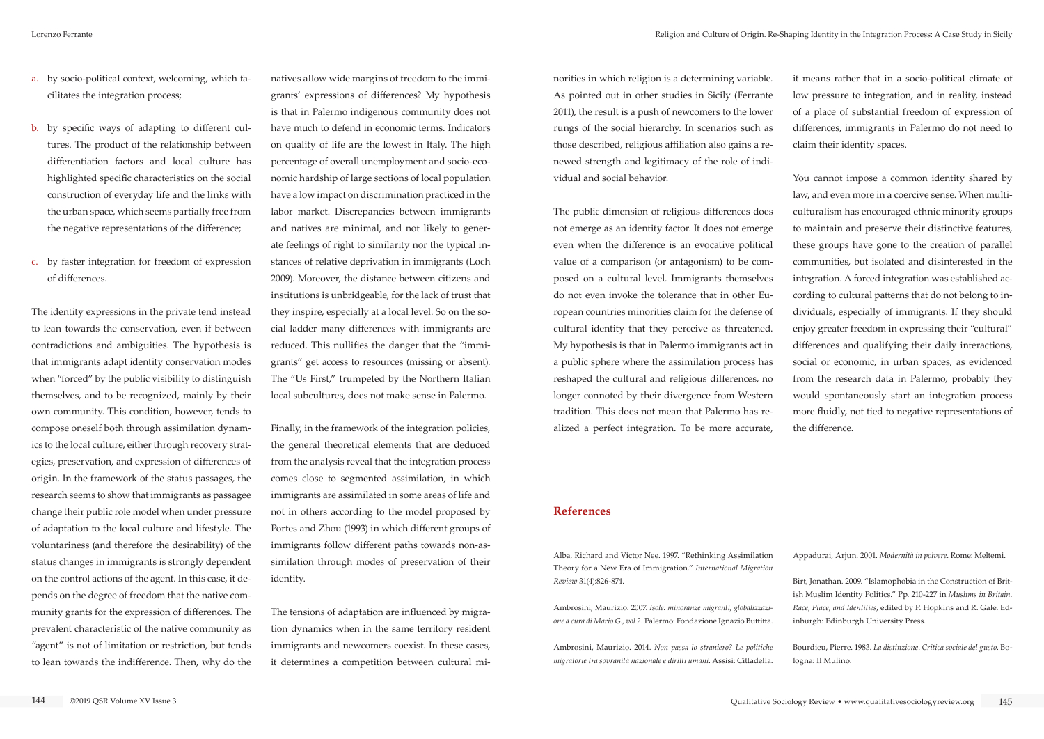norities in which religion is a determining variable. As pointed out in other studies in Sicily (Ferrante 2011), the result is a push of newcomers to the lower rungs of the social hierarchy. In scenarios such as those described, religious affiliation also gains a renewed strength and legitimacy of the role of individual and social behavior.

The public dimension of religious differences does not emerge as an identity factor. It does not emerge even when the difference is an evocative political value of a comparison (or antagonism) to be composed on a cultural level. Immigrants themselves do not even invoke the tolerance that in other European countries minorities claim for the defense of cultural identity that they perceive as threatened. My hypothesis is that in Palermo immigrants act in a public sphere where the assimilation process has reshaped the cultural and religious differences, no longer connoted by their divergence from Western tradition. This does not mean that Palermo has realized a perfect integration. To be more accurate,

it means rather that in a socio-political climate of low pressure to integration, and in reality, instead of a place of substantial freedom of expression of differences, immigrants in Palermo do not need to claim their identity spaces.

You cannot impose a common identity shared by law, and even more in a coercive sense. When multiculturalism has encouraged ethnic minority groups to maintain and preserve their distinctive features, these groups have gone to the creation of parallel communities, but isolated and disinterested in the integration. A forced integration was established according to cultural patterns that do not belong to individuals, especially of immigrants. If they should enjoy greater freedom in expressing their "cultural" differences and qualifying their daily interactions, social or economic, in urban spaces, as evidenced from the research data in Palermo, probably they would spontaneously start an integration process more fluidly, not tied to negative representations of the difference.

- a. by socio-political context, welcoming, which facilitates the integration process;
- b. by specific ways of adapting to different cultures. The product of the relationship between differentiation factors and local culture has highlighted specific characteristics on the social construction of everyday life and the links with the urban space, which seems partially free from the negative representations of the difference;
- c. by faster integration for freedom of expression of differences.

The identity expressions in the private tend instead to lean towards the conservation, even if between contradictions and ambiguities. The hypothesis is that immigrants adapt identity conservation modes when "forced" by the public visibility to distinguish themselves, and to be recognized, mainly by their own community. This condition, however, tends to compose oneself both through assimilation dynamics to the local culture, either through recovery strategies, preservation, and expression of differences of origin. In the framework of the status passages, the research seems to show that immigrants as passagee change their public role model when under pressure of adaptation to the local culture and lifestyle. The voluntariness (and therefore the desirability) of the status changes in immigrants is strongly dependent on the control actions of the agent. In this case, it depends on the degree of freedom that the native community grants for the expression of differences. The prevalent characteristic of the native community as "agent" is not of limitation or restriction, but tends to lean towards the indifference. Then, why do the

natives allow wide margins of freedom to the immigrants' expressions of differences? My hypothesis is that in Palermo indigenous community does not have much to defend in economic terms. Indicators on quality of life are the lowest in Italy. The high percentage of overall unemployment and socio-economic hardship of large sections of local population have a low impact on discrimination practiced in the labor market. Discrepancies between immigrants and natives are minimal, and not likely to generate feelings of right to similarity nor the typical instances of relative deprivation in immigrants (Loch 2009). Moreover, the distance between citizens and institutions is unbridgeable, for the lack of trust that they inspire, especially at a local level. So on the social ladder many differences with immigrants are reduced. This nullifies the danger that the "immigrants" get access to resources (missing or absent). The "Us First," trumpeted by the Northern Italian local subcultures, does not make sense in Palermo.

Finally, in the framework of the integration policies, the general theoretical elements that are deduced from the analysis reveal that the integration process comes close to segmented assimilation, in which immigrants are assimilated in some areas of life and not in others according to the model proposed by Portes and Zhou (1993) in which different groups of immigrants follow different paths towards non-assimilation through modes of preservation of their identity.

The tensions of adaptation are influenced by migration dynamics when in the same territory resident immigrants and newcomers coexist. In these cases, it determines a competition between cultural mi-

#### **References**

Alba, Richard and Victor Nee. 1997. "Rethinking Assimilation Theory for a New Era of Immigration." *International Migration Review* 31(4):826-874.

Ambrosini, Maurizio. 2007. *Isole: minoranze migranti, globalizzazione a cura di Mario G., vol 2.* Palermo: Fondazione Ignazio Buttitta.

Ambrosini, Maurizio. 2014. *Non passa lo straniero? Le politiche migratorie tra sovranità nazionale e diritti umani*. Assisi: Cittadella. Appadurai, Arjun. 2001. *Modernità in polvere*. Rome: Meltemi.

Birt, Jonathan. 2009. "Islamophobia in the Construction of British Muslim Identity Politics." Pp. 210-227 in *Muslims in Britain. Race, Place, and Identities*, edited by P. Hopkins and R. Gale. Edinburgh: Edinburgh University Press.

Bourdieu, Pierre. 1983. *La distinzione*. *Critica sociale del gusto*. Bologna: Il Mulino.